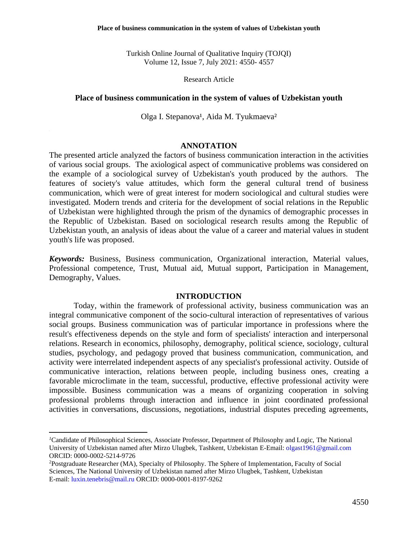Turkish Online Journal of Qualitative Inquiry (TOJQI) Volume 12, Issue 7, July 2021: 4550- 4557

#### Research Article

### **Place of business communication in the system of values of Uzbekistan youth**

Olga I. Stepanova<sup>1</sup>, Aida M. Tyukmaeva<sup>2</sup>

#### **ANNOTATION**

The presented article analyzed the factors of business communication interaction in the activities of various social groups. The axiological aspect of communicative problems was considered on the example of a sociological survey of Uzbekistan's youth produced by the authors. The features of society's value attitudes, which form the general cultural trend of business communication, which were of great interest for modern sociological and cultural studies were investigated. Modern trends and criteria for the development of social relations in the Republic of Uzbekistan were highlighted through the prism of the dynamics of demographic processes in the Republic of Uzbekistan. Based on sociological research results among the Republic of Uzbekistan youth, an analysis of ideas about the value of a career and material values in student youth's life was proposed.

*Keywords:* Business, Business communication, Organizational interaction, Material values, Professional competence, Trust, Mutual aid, Mutual support, Participation in Management, Demography, Values.

## **INTRODUCTION**

Today, within the framework of professional activity, business communication was an integral communicative component of the socio-cultural interaction of representatives of various social groups. Business communication was of particular importance in professions where the result's effectiveness depends on the style and form of specialists' interaction and interpersonal relations. Research in economics, philosophy, demography, political science, sociology, cultural studies, psychology, and pedagogy proved that business communication, communication, and activity were interrelated independent aspects of any specialist's professional activity. Outside of communicative interaction, relations between people, including business ones, creating a favorable microclimate in the team, successful, productive, effective professional activity were impossible. Business communication was a means of organizing cooperation in solving professional problems through interaction and influence in joint coordinated professional activities in conversations, discussions, negotiations, industrial disputes preceding agreements,

*<sup>1</sup>*Candidate of Philosophical Sciences, Associate Professor, Department of Philosophy and Logic, The National University of Uzbekistan named after Mirzo Ulugbek, Tashkent, Uzbekistan E-Email: [olgast1961@gmail.com](mailto:olgast1961@gmail.com) ORCID: 0000-0002-5214-9726

<sup>2</sup>Postgraduate Researcher (MA), Specialty of Philosophy. The Sphere of Implementation, Faculty of Social Sciences, The National University of Uzbekistan named after Mirzo Ulugbek, Tashkent, Uzbekistan E-mail[: luxin.tenebris@mail.ru](mailto:luxin.tenebris@mail.ru) ORCID: 0000-0001-8197-9262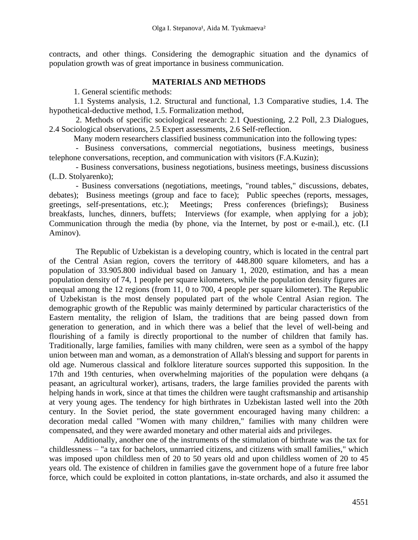contracts, and other things. Considering the demographic situation and the dynamics of population growth was of great importance in business communication.

## **MATERIALS AND METHODS**

1. General scientific methods:

1.1 Systems analysis, 1.2. Structural and functional, 1.3 Comparative studies, 1.4. The hypothetical-deductive method, 1.5. Formalization method,

2. Methods of specific sociological research: 2.1 Questioning, 2.2 Poll, 2.3 Dialogues, 2.4 Sociological observations, 2.5 Expert assessments, 2.6 Self-reflection.

Many modern researchers classified business communication into the following types:

- Business conversations, commercial negotiations, business meetings, business telephone conversations, reception, and communication with visitors (F.A.Kuzin);

- Business conversations, business negotiations, business meetings, business discussions (L.D. Stolyarenko);

- Business conversations (negotiations, meetings, "round tables," discussions, debates, debates); Business meetings (group and face to face); Public speeches (reports, messages, greetings, self-presentations, etc.); Meetings; Press conferences (briefings); Business breakfasts, lunches, dinners, buffets; Interviews (for example, when applying for a job); Communication through the media (by phone, via the Internet, by post or e-mail.), etc. (I.I Aminov).

The Republic of Uzbekistan is a developing country, which is located in the central part of the Central Asian region, covers the territory of 448.800 square kilometers, and has a population of 33.905.800 individual based on January 1, 2020, estimation, and has a mean population density of 74, 1 people per square kilometers, while the population density figures are unequal among the 12 regions (from 11, 0 to 700, 4 people per square kilometer). The Republic of Uzbekistan is the most densely populated part of the whole Central Asian region. The demographic growth of the Republic was mainly determined by particular characteristics of the Eastern mentality, the religion of Islam, the traditions that are being passed down from generation to generation, and in which there was a belief that the level of well-being and flourishing of a family is directly proportional to the number of children that family has. Traditionally, large families, families with many children, were seen as a symbol of the happy union between man and woman, as a demonstration of Allah's blessing and support for parents in old age. Numerous classical and folklore literature sources supported this supposition. In the 17th and 19th centuries, when overwhelming majorities of the population were dehqans (a peasant, an agricultural worker), artisans, traders, the large families provided the parents with helping hands in work, since at that times the children were taught craftsmanship and artisanship at very young ages. The tendency for high birthrates in Uzbekistan lasted well into the 20th century. In the Soviet period, the state government encouraged having many children: a decoration medal called "Women with many children," families with many children were compensated, and they were awarded monetary and other material aids and privileges.

Additionally, another one of the instruments of the stimulation of birthrate was the tax for childlessness – "a tax for bachelors, unmarried citizens, and citizens with small families," which was imposed upon childless men of 20 to 50 years old and upon childless women of 20 to 45 years old. The existence of children in families gave the government hope of a future free labor force, which could be exploited in cotton plantations, in-state orchards, and also it assumed the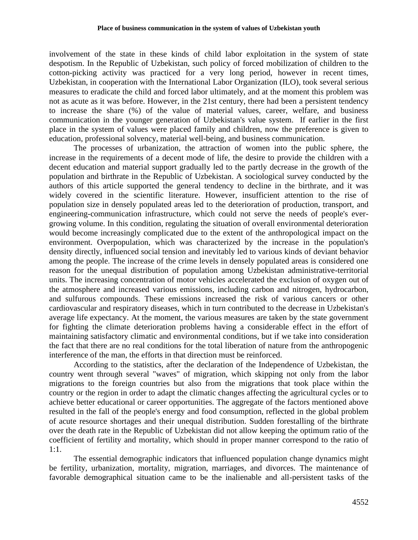involvement of the state in these kinds of child labor exploitation in the system of state despotism. In the Republic of Uzbekistan, such policy of forced mobilization of children to the cotton-picking activity was practiced for a very long period, however in recent times, Uzbekistan, in cooperation with the International Labor Organization (ILO), took several serious measures to eradicate the child and forced labor ultimately, and at the moment this problem was not as acute as it was before. However, in the 21st century, there had been a persistent tendency to increase the share (%) of the value of material values, career, welfare, and business communication in the younger generation of Uzbekistan's value system. If earlier in the first place in the system of values were placed family and children, now the preference is given to education, professional solvency, material well-being, and business communication.

The processes of urbanization, the attraction of women into the public sphere, the increase in the requirements of a decent mode of life, the desire to provide the children with a decent education and material support gradually led to the partly decrease in the growth of the population and birthrate in the Republic of Uzbekistan. A sociological survey conducted by the authors of this article supported the general tendency to decline in the birthrate, and it was widely covered in the scientific literature. However, insufficient attention to the rise of population size in densely populated areas led to the deterioration of production, transport, and engineering-communication infrastructure, which could not serve the needs of people's evergrowing volume. In this condition, regulating the situation of overall environmental deterioration would become increasingly complicated due to the extent of the anthropological impact on the environment. Overpopulation, which was characterized by the increase in the population's density directly, influenced social tension and inevitably led to various kinds of deviant behavior among the people. The increase of the crime levels in densely populated areas is considered one reason for the unequal distribution of population among Uzbekistan administrative-territorial units. The increasing concentration of motor vehicles accelerated the exclusion of oxygen out of the atmosphere and increased various emissions, including carbon and nitrogen, hydrocarbon, and sulfurous compounds. These emissions increased the risk of various cancers or other cardiovascular and respiratory diseases, which in turn contributed to the decrease in Uzbekistan's average life expectancy. At the moment, the various measures are taken by the state government for fighting the climate deterioration problems having a considerable effect in the effort of maintaining satisfactory climatic and environmental conditions, but if we take into consideration the fact that there are no real conditions for the total liberation of nature from the anthropogenic interference of the man, the efforts in that direction must be reinforced.

According to the statistics, after the declaration of the Independence of Uzbekistan, the country went through several "waves" of migration, which skipping not only from the labor migrations to the foreign countries but also from the migrations that took place within the country or the region in order to adapt the climatic changes affecting the agricultural cycles or to achieve better educational or career opportunities. The aggregate of the factors mentioned above resulted in the fall of the people's energy and food consumption, reflected in the global problem of acute resource shortages and their unequal distribution. Sudden forestalling of the birthrate over the death rate in the Republic of Uzbekistan did not allow keeping the optimum ratio of the coefficient of fertility and mortality, which should in proper manner correspond to the ratio of 1:1.

The essential demographic indicators that influenced population change dynamics might be fertility, urbanization, mortality, migration, marriages, and divorces. The maintenance of favorable demographical situation came to be the inalienable and all-persistent tasks of the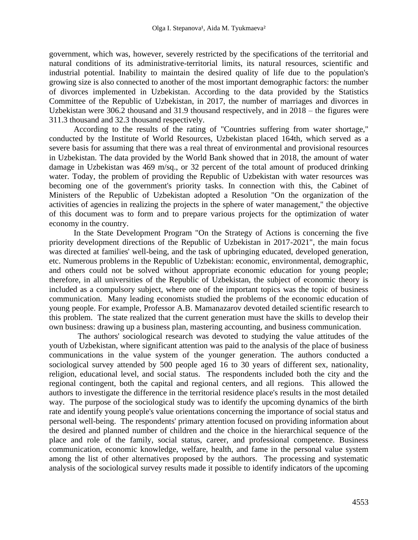government, which was, however, severely restricted by the specifications of the territorial and natural conditions of its administrative-territorial limits, its natural resources, scientific and industrial potential. Inability to maintain the desired quality of life due to the population's growing size is also connected to another of the most important demographic factors: the number of divorces implemented in Uzbekistan. According to the data provided by the Statistics Committee of the Republic of Uzbekistan, in 2017, the number of marriages and divorces in Uzbekistan were 306.2 thousand and 31.9 thousand respectively, and in 2018 – the figures were 311.3 thousand and 32.3 thousand respectively.

According to the results of the rating of "Countries suffering from water shortage," conducted by the Institute of World Resources, Uzbekistan placed 164th, which served as a severe basis for assuming that there was a real threat of environmental and provisional resources in Uzbekistan. The data provided by the World Bank showed that in 2018, the amount of water damage in Uzbekistan was 469 m/sq., or 32 percent of the total amount of produced drinking water. Today, the problem of providing the Republic of Uzbekistan with water resources was becoming one of the government's priority tasks. In connection with this, the Cabinet of Ministers of the Republic of Uzbekistan adopted a Resolution "On the organization of the activities of agencies in realizing the projects in the sphere of water management," the objective of this document was to form and to prepare various projects for the optimization of water economy in the country.

In the State Development Program "On the Strategy of Actions is concerning the five priority development directions of the Republic of Uzbekistan in 2017-2021", the main focus was directed at families' well-being, and the task of upbringing educated, developed generation, etc. Numerous problems in the Republic of Uzbekistan: economic, environmental, demographic, and others could not be solved without appropriate economic education for young people; therefore, in all universities of the Republic of Uzbekistan, the subject of economic theory is included as a compulsory subject, where one of the important topics was the topic of business communication. Many leading economists studied the problems of the economic education of young people. For example, Professor A.B. Mamanazarov devoted detailed scientific research to this problem. The state realized that the current generation must have the skills to develop their own business: drawing up a business plan, mastering accounting, and business communication.

 The authors' sociological research was devoted to studying the value attitudes of the youth of Uzbekistan, where significant attention was paid to the analysis of the place of business communications in the value system of the younger generation. The authors conducted a sociological survey attended by 500 people aged 16 to 30 years of different sex, nationality, religion, educational level, and social status. The respondents included both the city and the regional contingent, both the capital and regional centers, and all regions. This allowed the authors to investigate the difference in the territorial residence place's results in the most detailed way. The purpose of the sociological study was to identify the upcoming dynamics of the birth rate and identify young people's value orientations concerning the importance of social status and personal well-being. The respondents' primary attention focused on providing information about the desired and planned number of children and the choice in the hierarchical sequence of the place and role of the family, social status, career, and professional competence. Business communication, economic knowledge, welfare, health, and fame in the personal value system among the list of other alternatives proposed by the authors. The processing and systematic analysis of the sociological survey results made it possible to identify indicators of the upcoming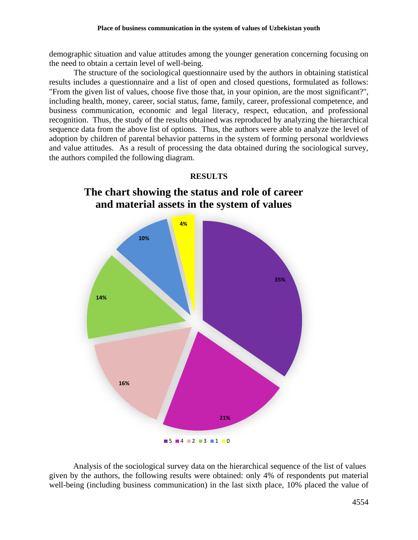demographic situation and value attitudes among the younger generation concerning focusing on the need to obtain a certain level of well-being.

The structure of the sociological questionnaire used by the authors in obtaining statistical results includes a questionnaire and a list of open and closed questions, formulated as follows: "From the given list of values, choose five those that, in your opinion, are the most significant?", including health, money, career, social status, fame, family, career, professional competence, and business communication, economic and legal literacy, respect, education, and professional recognition. Thus, the study of the results obtained was reproduced by analyzing the hierarchical sequence data from the above list of options. Thus, the authors were able to analyze the level of adoption by children of parental behavior patterns in the system of forming personal worldviews and value attitudes. As a result of processing the data obtained during the sociological survey, the authors compiled the following diagram.



Analysis of the sociological survey data on the hierarchical sequence of the list of values given by the authors, the following results were obtained: only 4% of respondents put material well-being (including business communication) in the last sixth place, 10% placed the value of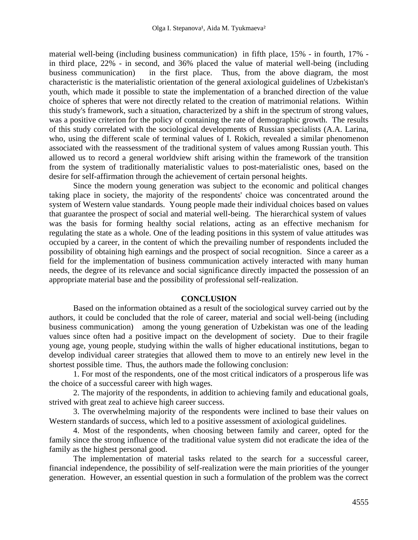material well-being (including business communication) in fifth place, 15% - in fourth, 17% in third place, 22% - in second, and 36% placed the value of material well-being (including business communication) in the first place. Thus, from the above diagram, the most characteristic is the materialistic orientation of the general axiological guidelines of Uzbekistan's youth, which made it possible to state the implementation of a branched direction of the value choice of spheres that were not directly related to the creation of matrimonial relations. Within this study's framework, such a situation, characterized by a shift in the spectrum of strong values, was a positive criterion for the policy of containing the rate of demographic growth. The results of this study correlated with the sociological developments of Russian specialists (A.A. Larina, who, using the different scale of terminal values of I. Rokich, revealed a similar phenomenon associated with the reassessment of the traditional system of values among Russian youth. This allowed us to record a general worldview shift arising within the framework of the transition from the system of traditionally materialistic values to post-materialistic ones, based on the desire for self-affirmation through the achievement of certain personal heights.

Since the modern young generation was subject to the economic and political changes taking place in society, the majority of the respondents' choice was concentrated around the system of Western value standards. Young people made their individual choices based on values that guarantee the prospect of social and material well-being. The hierarchical system of values was the basis for forming healthy social relations, acting as an effective mechanism for regulating the state as a whole. One of the leading positions in this system of value attitudes was occupied by a career, in the content of which the prevailing number of respondents included the possibility of obtaining high earnings and the prospect of social recognition. Since a career as a field for the implementation of business communication actively interacted with many human needs, the degree of its relevance and social significance directly impacted the possession of an appropriate material base and the possibility of professional self-realization.

### **CONCLUSION**

Based on the information obtained as a result of the sociological survey carried out by the authors, it could be concluded that the role of career, material and social well-being (including business communication) among the young generation of Uzbekistan was one of the leading values since often had a positive impact on the development of society. Due to their fragile young age, young people, studying within the walls of higher educational institutions, began to develop individual career strategies that allowed them to move to an entirely new level in the shortest possible time. Thus, the authors made the following conclusion:

1. For most of the respondents, one of the most critical indicators of a prosperous life was the choice of a successful career with high wages.

2. The majority of the respondents, in addition to achieving family and educational goals, strived with great zeal to achieve high career success.

3. The overwhelming majority of the respondents were inclined to base their values on Western standards of success, which led to a positive assessment of axiological guidelines.

4. Most of the respondents, when choosing between family and career, opted for the family since the strong influence of the traditional value system did not eradicate the idea of the family as the highest personal good.

The implementation of material tasks related to the search for a successful career, financial independence, the possibility of self-realization were the main priorities of the younger generation. However, an essential question in such a formulation of the problem was the correct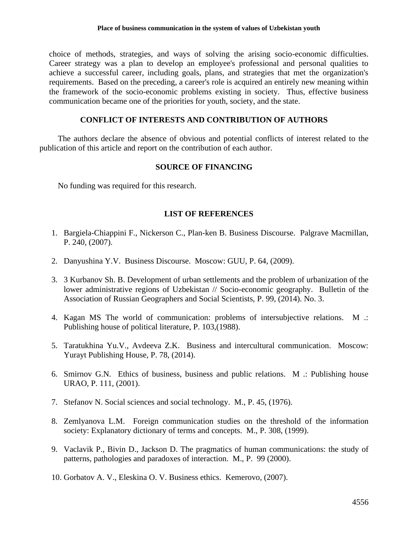choice of methods, strategies, and ways of solving the arising socio-economic difficulties. Career strategy was a plan to develop an employee's professional and personal qualities to achieve a successful career, including goals, plans, and strategies that met the organization's requirements. Based on the preceding, a career's role is acquired an entirely new meaning within the framework of the socio-economic problems existing in society. Thus, effective business communication became one of the priorities for youth, society, and the state.

## **CONFLICT OF INTERESTS AND CONTRIBUTION OF AUTHORS**

 The authors declare the absence of obvious and potential conflicts of interest related to the publication of this article and report on the contribution of each author.

## **SOURCE OF FINANCING**

No funding was required for this research.

# **LIST OF REFERENCES**

- 1. Bargiela-Chiappini F., Nickerson C., Plan-ken B. Business Discourse. Palgrave Macmillan, P. 240, (2007).
- 2. Danyushina Y.V. Business Discourse. Moscow: GUU, P. 64, (2009).
- 3. 3 Kurbanov Sh. B. Development of urban settlements and the problem of urbanization of the lower administrative regions of Uzbekistan // Socio-economic geography. Bulletin of the Association of Russian Geographers and Social Scientists, P. 99, (2014). No. 3.
- 4. Kagan MS The world of communication: problems of intersubjective relations. M .: Publishing house of political literature, P. 103,(1988).
- 5. Taratukhina Yu.V., Avdeeva Z.K. Business and intercultural communication. Moscow: Yurayt Publishing House, P. 78, (2014).
- 6. Smirnov G.N. Ethics of business, business and public relations. M .: Publishing house URAO, P. 111, (2001).
- 7. Stefanov N. Social sciences and social technology. M., P. 45, (1976).
- 8. Zemlyanova L.M. Foreign communication studies on the threshold of the information society: Explanatory dictionary of terms and concepts. M., P. 308, (1999).
- 9. Vaclavik P., Bivin D., Jackson D. The pragmatics of human communications: the study of patterns, pathologies and paradoxes of interaction. M., P. 99 (2000).
- 10. Gorbatov A. V., Eleskina O. V. Business ethics. Kemerovo, (2007).